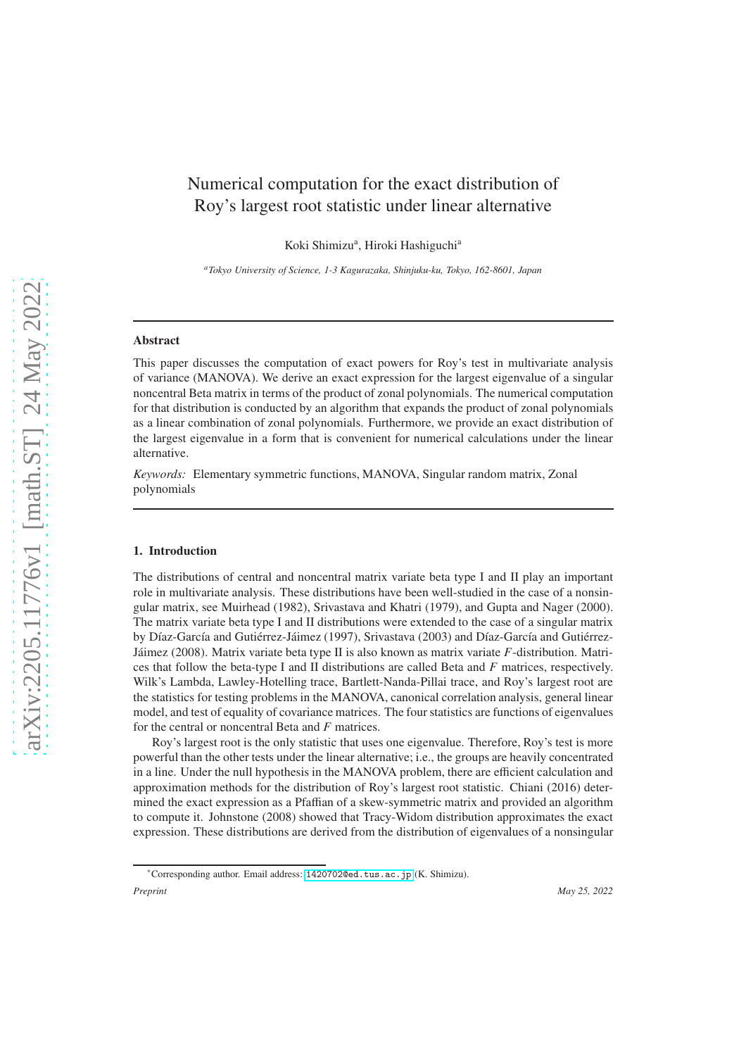# Numerical computation for the exact distribution of Roy's largest root statistic under linear alternative

Koki Shimizu<sup>a</sup>, Hiroki Hashiguchi<sup>a</sup>

*<sup>a</sup>Tokyo University of Science, 1-3 Kagurazaka, Shinjuku-ku, Tokyo, 162-8601, Japan*

# Abstract

This paper discusses the computation of exact powers for Roy's test in multivariate analysis of variance (MANOVA). We derive an exact expression for the largest eigenvalue of a singular noncentral Beta matrix in terms of the product of zonal polynomials. The numerical computation for that distribution is conducted by an algorithm that expands the product of zonal polynomials as a linear combination of zonal polynomials. Furthermore, we provide an exact distribution of the largest eigenvalue in a form that is convenient for numerical calculations under the linear alternative.

*Keywords:* Elementary symmetric functions, MANOVA, Singular random matrix, Zonal polynomials

#### 1. Introduction

The distributions of central and noncentral matrix variate beta type I and II play an important role in multivariate analysis. These distributions have been well-studied in the case of a nonsingular matrix, see Muirhead (1982), Srivastava and Khatri (1979), and Gupta and Nager (2000). The matrix variate beta type I and II distributions were extended to the case of a singular matrix by Díaz-García and Gutiérrez-Jáimez (1997), Srivastava (2003) and Díaz-García and Gutiérrez-Jáimez (2008). Matrix variate beta type II is also known as matrix variate *F*-distribution. Matrices that follow the beta-type I and II distributions are called Beta and *F* matrices, respectively. Wilk's Lambda, Lawley-Hotelling trace, Bartlett-Nanda-Pillai trace, and Roy's largest root are the statistics for testing problems in the MANOVA, canonical correlation analysis, general linear model, and test of equality of covariance matrices. The four statistics are functions of eigenvalues for the central or noncentral Beta and *F* matrices.

Roy's largest root is the only statistic that uses one eigenvalue. Therefore, Roy's test is more powerful than the other tests under the linear alternative; i.e., the groups are heavily concentrated in a line. Under the null hypothesis in the MANOVA problem, there are efficient calculation and approximation methods for the distribution of Roy's largest root statistic. Chiani (2016) determined the exact expression as a Pfaffian of a skew-symmetric matrix and provided an algorithm to compute it. Johnstone (2008) showed that Tracy-Widom distribution approximates the exact expression. These distributions are derived from the distribution of eigenvalues of a nonsingular

<sup>∗</sup>Corresponding author. Email address: <1420702@ed.tus.ac.jp> (K. Shimizu).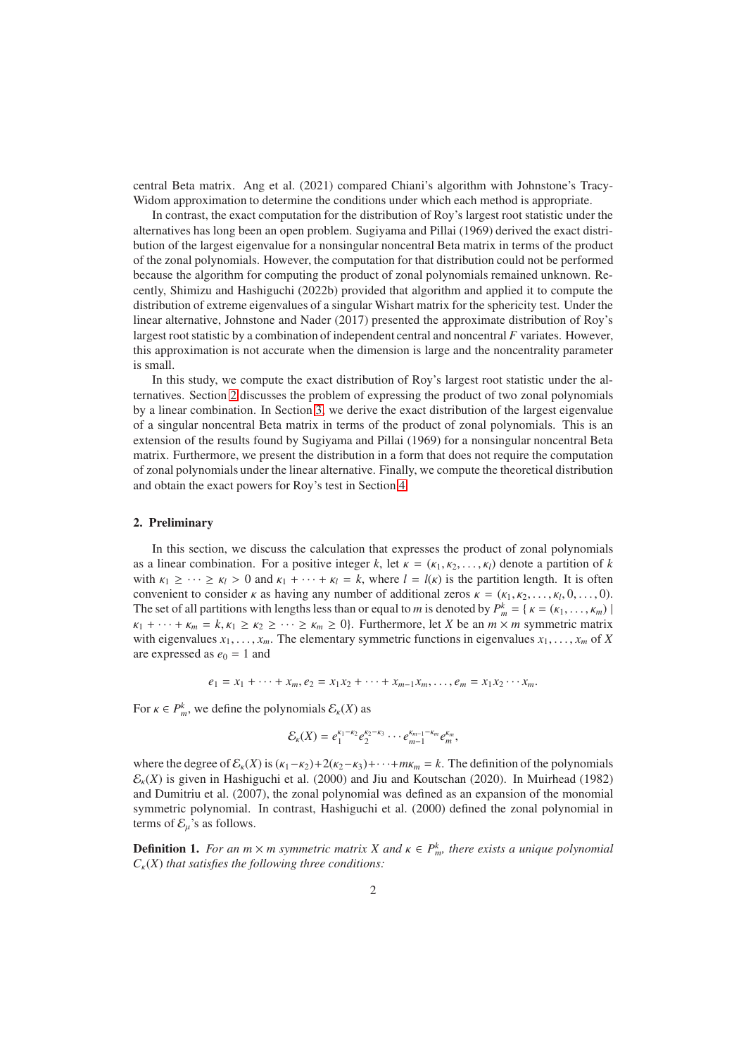central Beta matrix. Ang et al. (2021) compared Chiani's algorithm with Johnstone's Tracy-Widom approximation to determine the conditions under which each method is appropriate.

In contrast, the exact computation for the distribution of Roy's largest root statistic under the alternatives has long been an open problem. Sugiyama and Pillai (1969) derived the exact distribution of the largest eigenvalue for a nonsingular noncentral Beta matrix in terms of the product of the zonal polynomials. However, the computation for that distribution could not be performed because the algorithm for computing the product of zonal polynomials remained unknown. Recently, Shimizu and Hashiguchi (2022b) provided that algorithm and applied it to compute the distribution of extreme eigenvalues of a singular Wishart matrix for the sphericity test. Under the linear alternative, Johnstone and Nader (2017) presented the approximate distribution of Roy's largest root statistic by a combination of independent central and noncentral *F* variates. However, this approximation is not accurate when the dimension is large and the noncentrality parameter is small.

In this study, we compute the exact distribution of Roy's largest root statistic under the alternatives. Section [2](#page-1-0) discusses the problem of expressing the product of two zonal polynomials by a linear combination. In Section [3,](#page-3-0) we derive the exact distribution of the largest eigenvalue of a singular noncentral Beta matrix in terms of the product of zonal polynomials. This is an extension of the results found by Sugiyama and Pillai (1969) for a nonsingular noncentral Beta matrix. Furthermore, we present the distribution in a form that does not require the computation of zonal polynomials under the linear alternative. Finally, we compute the theoretical distribution and obtain the exact powers for Roy's test in Section [4.](#page-7-0)

#### <span id="page-1-0"></span>2. Preliminary

In this section, we discuss the calculation that expresses the product of zonal polynomials as a linear combination. For a positive integer *k*, let  $\kappa = (\kappa_1, \kappa_2, \dots, \kappa_l)$  denote a partition of *k* with  $\kappa_1 \geq \cdots \geq \kappa_l > 0$  and  $\kappa_1 + \cdots + \kappa_l = k$ , where  $l = l(\kappa)$  is the partition length. It is often convenient to consider  $\kappa$  as having any number of additional zeros  $\kappa = (\kappa_1, \kappa_2, \ldots, \kappa_l, 0, \ldots, 0)$ . The set of all partitions with lengths less than or equal to *m* is denoted by  $P_m^k = \{k = (k_1, \ldots, k_m) \mid m \in \mathbb{N} \}$  $\kappa_1 + \cdots + \kappa_m = k, \kappa_1 \geq \kappa_2 \geq \cdots \geq \kappa_m \geq 0$ . Furthermore, let *X* be an  $m \times m$  symmetric matrix with eigenvalues  $x_1, \ldots, x_m$ . The elementary symmetric functions in eigenvalues  $x_1, \ldots, x_m$  of X are expressed as  $e_0 = 1$  and

$$
e_1 = x_1 + \cdots + x_m, e_2 = x_1 x_2 + \cdots + x_{m-1} x_m, \ldots, e_m = x_1 x_2 \cdots x_m.
$$

For  $\kappa \in P_m^k$ , we define the polynomials  $\mathcal{E}_{\kappa}(X)$  as

$$
\mathcal{E}_{\kappa}(X)=e_1^{\kappa_1-\kappa_2}e_2^{\kappa_2-\kappa_3}\cdots e_{m-1}^{\kappa_{m-1}-\kappa_m}e_m^{\kappa_m},
$$

where the degree of  $\mathcal{E}_k(X)$  is  $(\kappa_1-\kappa_2)+2(\kappa_2-\kappa_3)+\cdots+m\kappa_m=k$ . The definition of the polynomials  $\mathcal{E}_{k}(X)$  is given in Hashiguchi et al. (2000) and Jiu and Koutschan (2020). In Muirhead (1982) and Dumitriu et al. (2007), the zonal polynomial was defined as an expansion of the monomial symmetric polynomial. In contrast, Hashiguchi et al. (2000) defined the zonal polynomial in terms of  $\mathcal{E}_u$ 's as follows.

**Definition 1.** *For an m*  $\times$  *m symmetric matrix X and*  $\kappa \in P_m^k$ , *there exists a unique polynomial*  $C_{\kappa}(X)$  *that satisfies the following three conditions:*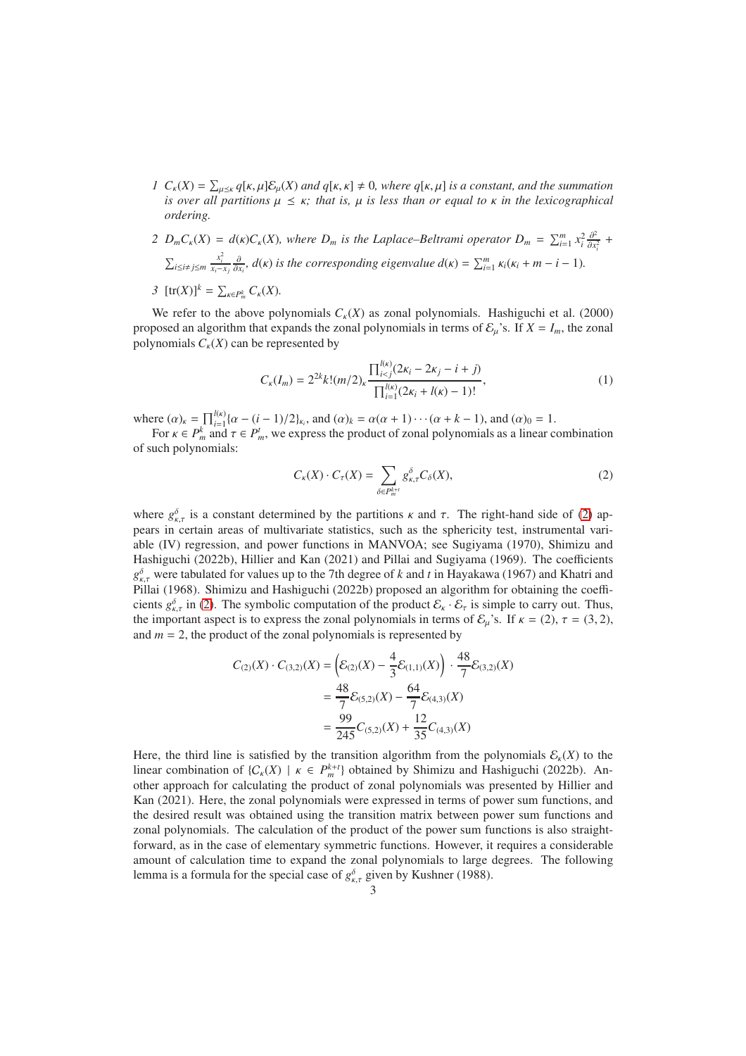- *1*  $C_{\kappa}(X) = \sum_{\mu \leq \kappa} q[\kappa, \mu] \mathcal{E}_{\mu}(X)$  *and*  $q[\kappa, \kappa] \neq 0$ *, where*  $q[\kappa, \mu]$  *is a constant, and the summation is over all partitions*  $\mu \leq \kappa$ ; that *is*,  $\mu$  *is less than or equal to*  $\kappa$  *in the lexicographical ordering.*
- *2*  $D_m C_{\kappa}(X) = d(\kappa)C_{\kappa}(X)$ , where  $D_m$  is the Laplace–Beltrami operator  $D_m = \sum_{i=1}^m x_i^2 \frac{\partial^2}{\partial x^2}$  $\frac{\partial^2}{\partial x_i^2}$  +  $\sum_{i\leq i\neq j\leq m}\frac{x_i^2}{x_i-x_j}\frac{\partial}{\partial x_i}$ ,  $d(\kappa)$  is the corresponding eigenvalue  $d(\kappa)=\sum_{i=1}^m\kappa_i(\kappa_i+m-i-1)$ .
- *3*  $[\text{tr}(X)]^k = \sum_{\kappa \in P_m^k} C_{\kappa}(X)$ *.*

We refer to the above polynomials  $C_k(X)$  as zonal polynomials. Hashiguchi et al. (2000) proposed an algorithm that expands the zonal polynomials in terms of  $\mathcal{E}_u$ 's. If  $X = I_m$ , the zonal polynomials  $C_k(X)$  can be represented by

$$
C_{\kappa}(I_m) = 2^{2k} k! (m/2)_{\kappa} \frac{\prod_{i < j}^{l(\kappa)} (2\kappa_i - 2\kappa_j - i + j)}{\prod_{i=1}^{l(\kappa)} (2\kappa_i + l(\kappa) - 1)!},\tag{1}
$$

where  $(\alpha)_k = \prod_{i=1}^{l(\kappa)} \{ \alpha - (i-1)/2 \}_{k_i}$ , and  $(\alpha)_k = \alpha(\alpha+1) \cdots (\alpha+k-1)$ , and  $(\alpha)_0 = 1$ .

For  $\kappa \in P_m^k$  and  $\tau \in P_m^t$ , we express the product of zonal polynomials as a linear combination of such polynomials:

<span id="page-2-1"></span><span id="page-2-0"></span>
$$
C_{\kappa}(X) \cdot C_{\tau}(X) = \sum_{\delta \in P_{m}^{k+t}} g_{\kappa,\tau}^{\delta} C_{\delta}(X),\tag{2}
$$

where  $g_{\kappa,\tau}^{\delta}$  is a constant determined by the partitions  $\kappa$  and  $\tau$ . The right-hand side of [\(2\)](#page-2-0) appears in certain areas of multivariate statistics, such as the sphericity test, instrumental variable (IV) regression, and power functions in MANVOA; see Sugiyama (1970), Shimizu and Hashiguchi (2022b), Hillier and Kan (2021) and Pillai and Sugiyama (1969). The coefficients *g* δ κ,τ were tabulated for values up to the 7th degree of *k* and *t* in Hayakawa (1967) and Khatri and Pillai (1968). Shimizu and Hashiguchi (2022b) proposed an algorithm for obtaining the coefficients  $g_{\kappa,\tau}^{\delta}$  in [\(2\)](#page-2-0). The symbolic computation of the product  $\mathcal{E}_{\kappa} \cdot \mathcal{E}_{\tau}$  is simple to carry out. Thus, the important aspect is to express the zonal polynomials in terms of  $\mathcal{E}_{\mu}$ 's. If  $\kappa = (2)$ ,  $\tau = (3, 2)$ , and  $m = 2$ , the product of the zonal polynomials is represented by

$$
C_{(2)}(X) \cdot C_{(3,2)}(X) = \left( \mathcal{E}_{(2)}(X) - \frac{4}{3} \mathcal{E}_{(1,1)}(X) \right) \cdot \frac{48}{7} \mathcal{E}_{(3,2)}(X)
$$
  
= 
$$
\frac{48}{7} \mathcal{E}_{(5,2)}(X) - \frac{64}{7} \mathcal{E}_{(4,3)}(X)
$$
  
= 
$$
\frac{99}{245} C_{(5,2)}(X) + \frac{12}{35} C_{(4,3)}(X)
$$

Here, the third line is satisfied by the transition algorithm from the polynomials  $\mathcal{E}_k(X)$  to the linear combination of  $\{C_{\kappa}(X) \mid \kappa \in P_m^{k+t}\}$  obtained by Shimizu and Hashiguchi (2022b). Another approach for calculating the product of zonal polynomials was presented by Hillier and Kan (2021). Here, the zonal polynomials were expressed in terms of power sum functions, and the desired result was obtained using the transition matrix between power sum functions and zonal polynomials. The calculation of the product of the power sum functions is also straightforward, as in the case of elementary symmetric functions. However, it requires a considerable amount of calculation time to expand the zonal polynomials to large degrees. The following lemma is a formula for the special case of  $g_{\kappa,\tau}^{\delta}$  given by Kushner (1988).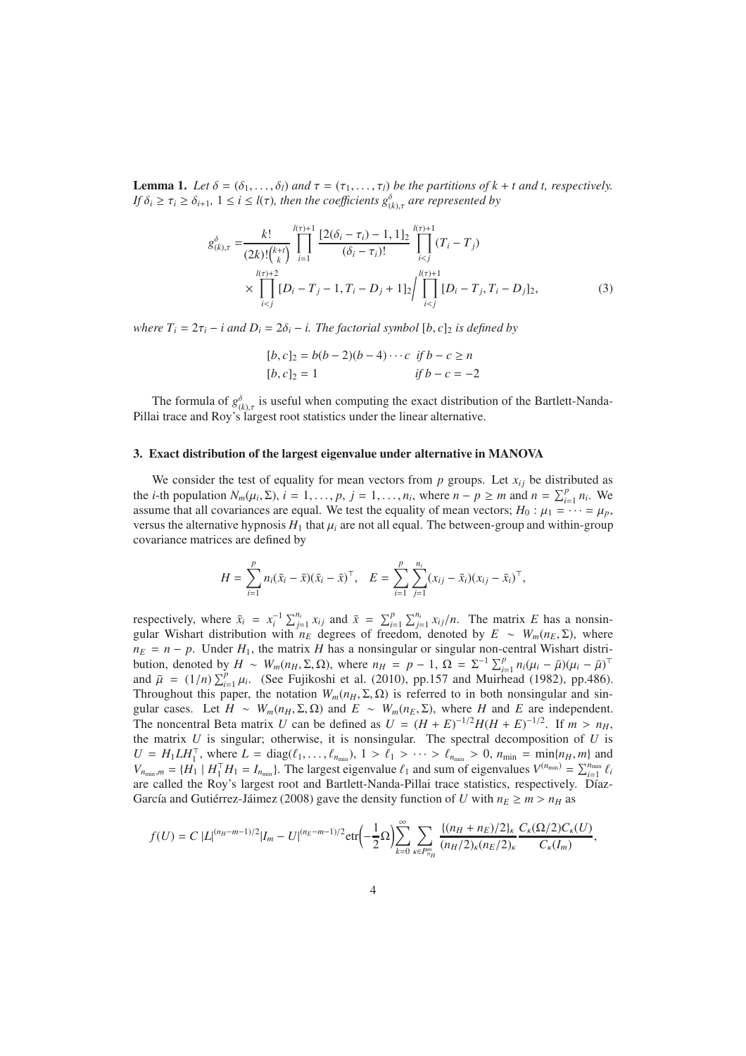**Lemma 1.** Let  $\delta = (\delta_1, \ldots, \delta_l)$  and  $\tau = (\tau_1, \ldots, \tau_l)$  be the partitions of  $k + t$  and t, respectively. *If*  $\delta_i \ge \tau_i \ge \delta_{i+1}$ ,  $1 \le i \le l(\tau)$ , then the coefficients  $g^{\delta}_{(k),\tau}$  are represented by

$$
g_{(k),\tau}^{\delta} = \frac{k!}{(2k)!(\binom{k+t}{k})} \prod_{i=1}^{l(\tau)+1} \frac{[2(\delta_i - \tau_i) - 1, 1]_2}{(\delta_i - \tau_i)!} \prod_{i < j}^{l(\tau)+1} (T_i - T_j) \\
\times \prod_{i < j}^{l(\tau)+2} [D_i - T_j - 1, T_i - D_j + 1]_2 / \prod_{i < j}^{l(\tau)+1} [D_i - T_j, T_i - D_j]_2,\tag{3}
$$

*where*  $T_i = 2\tau_i - i$  *and*  $D_i = 2\delta_i - i$ . *The factorial symbol* [*b*, *c*]<sub>2</sub> *is defined by* 

<span id="page-3-1"></span>
$$
[b, c]_2 = b(b-2)(b-4)\cdots c \text{ if } b-c \ge n
$$
  

$$
[b, c]_2 = 1 \qquad \text{if } b-c = -2
$$

The formula of  $g^{\delta}_{(k),\tau}$  is useful when computing the exact distribution of the Bartlett-Nanda-Pillai trace and Roy's largest root statistics under the linear alternative.

### <span id="page-3-0"></span>3. Exact distribution of the largest eigenvalue under alternative in MANOVA

We consider the test of equality for mean vectors from  $p$  groups. Let  $x_{ij}$  be distributed as the *i*-th population  $N_m(\mu_i, \Sigma)$ ,  $i = 1, ..., p, j = 1, ..., n_i$ , where  $n - p \ge m$  and  $n = \sum_{i=1}^p n_i$ . We assume that all covariances are equal. We test the equality of mean vectors;  $H_0: \mu_1 = \cdots = \mu_p$ , versus the alternative hypnosis  $H_1$  that  $\mu_i$  are not all equal. The between-group and within-group covariance matrices are defined by

$$
H = \sum_{i=1}^p n_i (\bar{x}_i - \bar{x}) (\bar{x}_i - \bar{x})^\top, \quad E = \sum_{i=1}^p \sum_{j=1}^{n_i} (x_{ij} - \bar{x}_i) (x_{ij} - \bar{x}_i)^\top,
$$

respectively, where  $\bar{x}_i = x_i^{-1} \sum_{j=1}^{n_i} x_{ij}$  and  $\bar{x} = \sum_{i=1}^p \sum_{j=1}^{n_i} x_{ij}/n$ . The matrix E has a nonsingular Wishart distribution with  $n_E$  degrees of freedom, denoted by  $E \sim W_m(n_E, \Sigma)$ , where  $n_E = n - p$ . Under  $H_1$ , the matrix *H* has a nonsingular or singular non-central Wishart distribution, denoted by  $H \sim W_m(n_H, \Sigma, \Omega)$ , where  $n_H = p - 1$ ,  $\Omega = \Sigma^{-1} \sum_{i=1}^p n_i (\mu_i - \bar{\mu}) (\mu_i - \bar{\mu})^\top$ and  $\bar{\mu} = (1/n) \sum_{i=1}^{p} \mu_i$ . (See Fujikoshi et al. (2010), pp.157 and Muirhead (1982), pp.486). Throughout this paper, the notation  $W_m(n_H, \Sigma, \Omega)$  is referred to in both nonsingular and singular cases. Let  $H \sim W_m(n_H, \Sigma, \Omega)$  and  $E \sim W_m(n_E, \Sigma)$ , where *H* and *E* are independent. The noncentral Beta matrix *U* can be defined as  $U = (H + E)^{-1/2}H(H + E)^{-1/2}$ . If  $m > n_H$ , the matrix *U* is singular; otherwise, it is nonsingular. The spectral decomposition of *U* is  $U = H_1 L H_1^{\top}$ , where  $L = \text{diag}(\ell_1, ..., \ell_{n_{\text{min}}})$ ,  $1 > \ell_1 > ... > \ell_{n_{\text{min}}} > 0$ ,  $n_{\text{min}} = \text{min}\{n_H, m\}$  and  $V_{n_{\min},m} = \{H_1 \mid H_1^{\top}H_1 = I_{n_{\min}}\}$ . The largest eigenvalue  $\ell_1$  and sum of eigenvalues  $V^{(n_{\min})} = \sum_{i=1}^{n_{\min}} \ell_i$ are called the Roy's largest root and Bartlett-Nanda-Pillai trace statistics, respectively. Díaz-García and Gutiérrez-Jáimez (2008) gave the density function of *U* with  $n_E \ge m > n_H$  as

$$
f(U) = C |L|^{(n_H - m - 1)/2} |I_m - U|^{(n_E - m - 1)/2} \text{etr}\left(-\frac{1}{2}\Omega\right) \sum_{k=0}^{\infty} \sum_{\kappa \in P_{n_H}^m} \frac{\{(n_H + n_E)/2\}_\kappa C_\kappa(\Omega/2) C_\kappa(U)}{(n_H/2)_\kappa (n_E/2)_\kappa} C_\kappa(I_m),
$$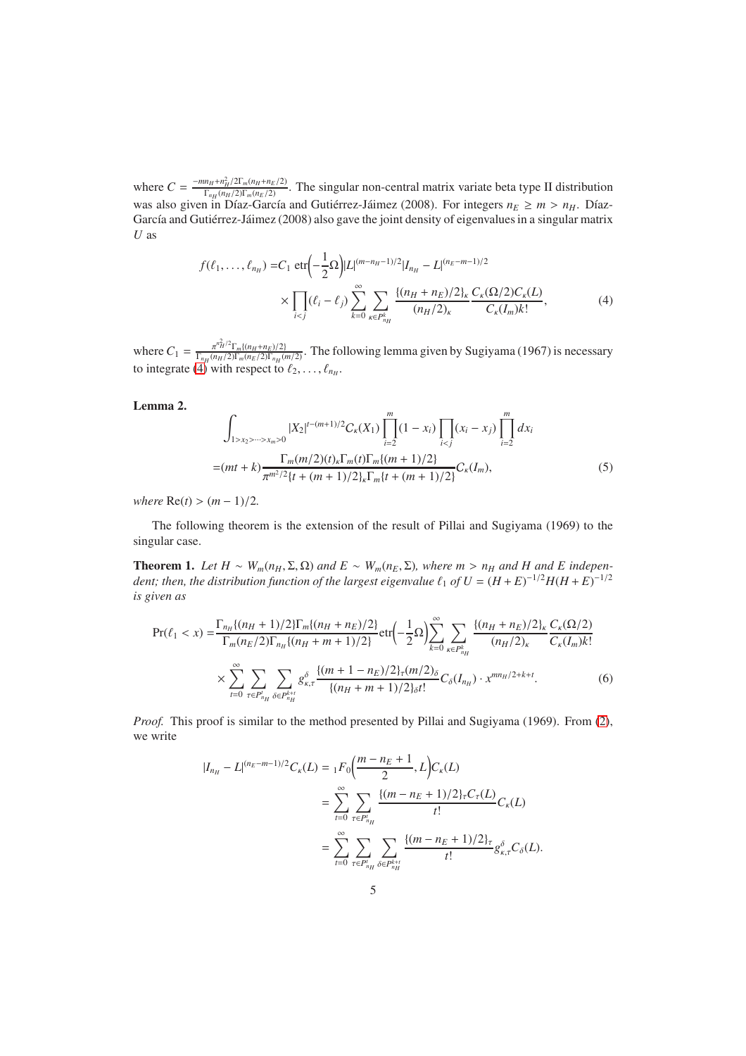where  $C = \frac{-mn_H + n_H^2/2\Gamma_m(n_H + n_E/2)}{\Gamma_n(n_H/2)\Gamma_n(n_E/2)}$  $\frac{n_H + n_H/2}{\Gamma_{n_H}(n_H/2)\Gamma_m(n_E/2)}$ . The singular non-central matrix variate beta type II distribution was also given in Díaz-García and Gutiérrez-Jáimez (2008). For integers  $n_E \ge m > n_H$ . Díaz-García and Gutiérrez-Jáimez (2008) also gave the joint density of eigenvalues in a singular matrix *U* as

<span id="page-4-0"></span>
$$
f(\ell_1, ..., \ell_{n_H}) = C_1 \text{etr}\left(-\frac{1}{2}\Omega\right) |L|^{(m-n_H-1)/2} |I_{n_H} - L|^{(n_E - m-1)/2}
$$

$$
\times \prod_{i < j} (\ell_i - \ell_j) \sum_{k=0}^{\infty} \sum_{\kappa \in P_{n_H}^k} \frac{\{(n_H + n_E)/2\}_k}{(n_H/2)_k} \frac{C_\kappa(\Omega/2) C_\kappa(L)}{C_\kappa(I_m) k!},\tag{4}
$$

where  $C_1 = \frac{\pi^{n_H^2/2} \Gamma_m \{ (n_H + n_E)/2 \}}{\Gamma_{mn}(n_H/2) \Gamma_m (n_E/2) \Gamma_{mn}(n_E)}$  $\frac{\pi^{H^{1}} \cdot 1_{m}((n_H+n_E)/2)}{ \Gamma_{n_H}(n_E/2) \Gamma_{n_H}(m/2)}$ . The following lemma given by Sugiyama (1967) is necessary to integrate [\(4\)](#page-4-0) with respect to  $\ell_2, \ldots, \ell_{n_H}$ .

# <span id="page-4-1"></span>Lemma 2.

$$
\int_{1>x_2>\cdots>x_m>0} |X_2|^{t-(m+1)/2} C_{\kappa}(X_1) \prod_{i=2}^m (1-x_i) \prod_{i  
=
$$
(mt+k) \frac{\Gamma_m(m/2)(t)_k \Gamma_m(t) \Gamma_m\{(m+1)/2\}}{\pi^{m^2/2} \{t + (m+1)/2\}_k \Gamma_m\{t + (m+1)/2\}} C_{\kappa}(I_m),
$$
 (5)
$$

*where*  $Re(t) > (m-1)/2$ *.* 

The following theorem is the extension of the result of Pillai and Sugiyama (1969) to the singular case.

<span id="page-4-3"></span>**Theorem 1.** *Let H* ∼ *W<sub><i>m*</sub>(*n<sub>H</sub>*, Σ<sub></sub>, Ω) *and E* ∼ *W<sub><i>m*</sub>(*n<sub>E</sub>*, Σ)*, where m* > *n<sub>H</sub> and H and E independent; then, the distribution function of the largest eigenvalue*  $\ell_1$  *of*  $U = (H + E)^{-1/2}H(H + E)^{-1/2}$ *is given as*

$$
\Pr(\ell_1 < x) = \frac{\Gamma_{n_H}\{(n_H + 1)/2\}\Gamma_m\{(n_H + n_E)/2\}}{\Gamma_m(n_E/2)\Gamma_{n_H}\{(n_H + m + 1)/2\}} \cdot \text{etr}\left(-\frac{1}{2}\Omega\right) \sum_{k=0}^{\infty} \sum_{\kappa \in P_{n_H}^k} \frac{\{(n_H + n_E)/2\}_\kappa C_\kappa(\Omega/2)}{(n_H/2)_\kappa} \cdot \frac{C_\kappa(\Omega/2)}{C_\kappa(I_m)k!} \times \sum_{t=0}^{\infty} \sum_{\tau \in P_{n_H}^t} \sum_{\delta \in P_{n_H}^{k+t}} g_{\kappa,\tau}^{\delta} \frac{\{(m + 1 - n_E)/2\}_\tau(m/2)_\delta}{\{(n_H + m + 1)/2\}_\delta t!} C_\delta(I_{n_H}) \cdot x^{mn_H/2 + k + t}.\tag{6}
$$

*Proof.* This proof is similar to the method presented by Pillai and Sugiyama (1969). From [\(2\)](#page-2-0), we write

<span id="page-4-2"></span>
$$
|I_{n_H} - L|^{(n_E - m - 1)/2} C_{\kappa}(L) = {}_1F_0\left(\frac{m - n_E + 1}{2}, L\right) C_{\kappa}(L)
$$
  

$$
= \sum_{t=0}^{\infty} \sum_{\tau \in P_{n_H}^t} \frac{\{(m - n_E + 1)/2\}_{\tau} C_{\tau}(L)}{t!} C_{\kappa}(L)
$$
  

$$
= \sum_{t=0}^{\infty} \sum_{\tau \in P_{n_H}^t} \sum_{\delta \in P_{n_H}^{k+t}} \frac{\{(m - n_E + 1)/2\}_{\tau} }{t!} g_{\kappa, \tau}^{\delta} C_{\delta}(L).
$$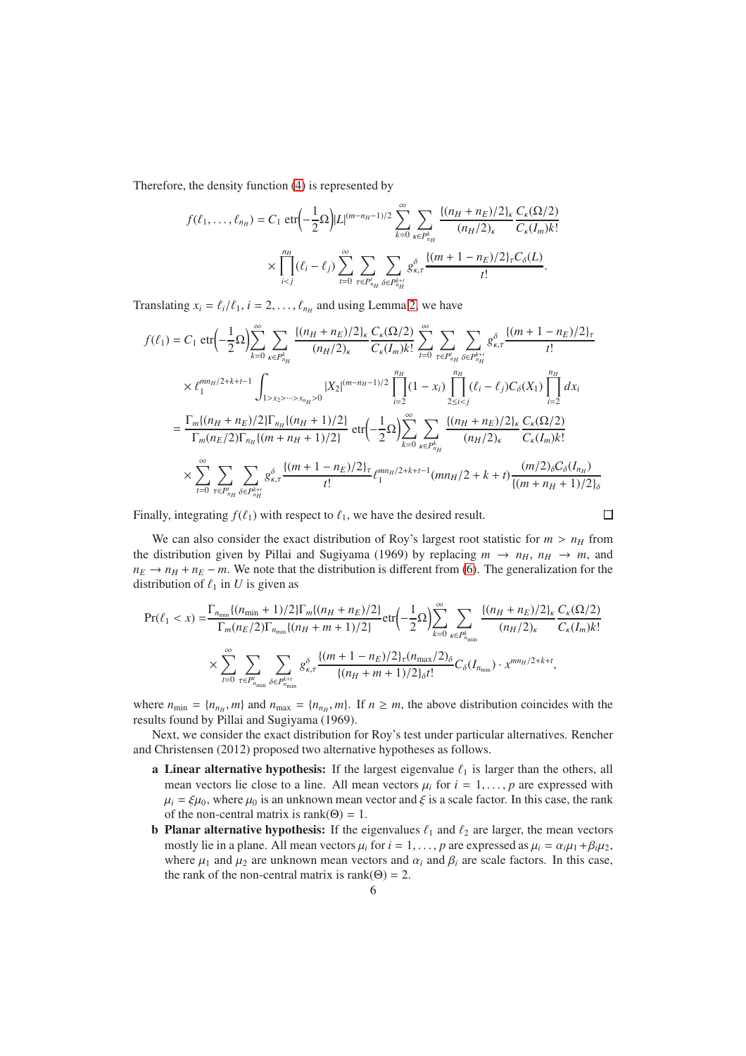Therefore, the density function [\(4\)](#page-4-0) is represented by

$$
f(\ell_1, ..., \ell_{n_H}) = C_1 \text{ etr}\left(-\frac{1}{2}\Omega\right)|L|^{(m-n_H-1)/2} \sum_{k=0}^{\infty} \sum_{\kappa \in P_{n_H}^k} \frac{\{(n_H + n_E)/2\}_\kappa C_\kappa(\Omega/2)}{(n_H/2)_\kappa} \sum_{C_\kappa(I_m)k!} \times \prod_{i < j}^{n_H} (\ell_i - \ell_j) \sum_{t=0}^{\infty} \sum_{\tau \in P_{n_H}^k} \sum_{\delta \in P_{n_H}^{k+t}} g_{\kappa,\tau}^{\delta} \frac{\{(m+1-n_E)/2\}_\tau C_\delta(L)}{t!}.
$$

Translating  $x_i = \ell_i / \ell_1$ ,  $i = 2, ..., \ell_{n_H}$  $i = 2, ..., \ell_{n_H}$  $i = 2, ..., \ell_{n_H}$  and using Lemma 2, we have

$$
f(\ell_{1}) = C_{1} \text{ etr} \left(-\frac{1}{2}\Omega\right) \sum_{k=0}^{\infty} \sum_{\kappa \in P_{n_{H}}^{k}} \frac{\{(n_{H} + n_{E})/2\}_{\kappa} C_{\kappa}(\Omega/2)}{(n_{H}/2)_{\kappa}} \sum_{t=0}^{\infty} \sum_{\tau \in P_{n_{H}}^{k}} \sum_{\delta \in P_{n_{H}}^{k+1}} g_{\kappa,\tau}^{\delta} \frac{(m+1-n_{E})/2\}_{\tau} \times \ell_{1}^{mn_{H}/2+k+t-1} \int_{1 > x_{2} > \cdots > x_{n_{H}} > 0} |X_{2}|^{(m-n_{H}-1)/2} \prod_{i=2}^{n_{H}} (1-x_{i}) \prod_{2 \leq i < j}^{n_{H}} (\ell_{i} - \ell_{j}) C_{\delta}(X_{1}) \prod_{i=2}^{n_{H}} dx_{i}
$$
\n
$$
= \frac{\Gamma_{m}\{(n_{H} + n_{E})/2\} \Gamma_{n_{H}} \{(n_{H} + 1)/2\}}{\Gamma_{m}(n_{E}/2) \Gamma_{n_{H}} \{(m+n_{H} + 1)/2\}} \text{ etr} \left(-\frac{1}{2}\Omega\right) \sum_{k=0}^{\infty} \sum_{\kappa \in P_{n_{H}}^{k}} \frac{\{(n_{H} + n_{E})/2\}_{\kappa} C_{\kappa}(\Omega/2)}{(n_{H}/2)_{\kappa}} \frac{C_{\kappa}(\Omega/2)}{C_{\kappa}(I_{m})k!}
$$
\n
$$
\times \sum_{t=0}^{\infty} \sum_{\tau \in P_{n_{H}}^{k}} \sum_{\delta \in P_{n_{H}}^{k+1}} g_{\kappa,\tau}^{\delta} \frac{\{(m+1-n_{E})/2\}_{\tau}}{t!} \ell_{1}^{mn_{H}/2+k+t-1}(mn_{H}/2+k+t) \frac{(m/2)_{\delta}C_{\delta}(I_{n_{H}})}{\{(m+n_{H} + 1)/2\}_{\delta}}
$$

Finally, integrating  $f(\ell_1)$  with respect to  $\ell_1$ , we have the desired result.

$$
\qquad \qquad \Box
$$

We can also consider the exact distribution of Roy's largest root statistic for  $m > n_H$  from the distribution given by Pillai and Sugiyama (1969) by replacing  $m \rightarrow n_H$ ,  $n_H \rightarrow m$ , and  $n_E \rightarrow n_H + n_E - m$ . We note that the distribution is different from [\(6\)](#page-4-2). The generalization for the distribution of  $\ell_1$  in  $U$  is given as

$$
\Pr(\ell_1 < x) = \frac{\Gamma_{n_{\min}}\{(n_{\min} + 1)/2\}\Gamma_m\{(n_H + n_E)/2\}}{\Gamma_m(n_E/2)\Gamma_{n_{\min}}\{(n_H + m + 1)/2\}} \text{etr}\left(-\frac{1}{2}\Omega\right) \sum_{k=0}^{\infty} \sum_{\kappa \in P_{n_{\min}}^k} \frac{\{(n_H + n_E)/2\}_\kappa C_\kappa(\Omega/2)}{(n_H/2)_\kappa} \frac{C_\kappa(\Omega/2)}{C_\kappa(I_m)k!}
$$
\n
$$
\times \sum_{t=0}^{\infty} \sum_{\tau \in P_{n_{\min}}^t} \sum_{\delta \in P_{n_{\min}}^{k+t}} g_{\kappa,\tau}^{\delta} \frac{\{(m + 1 - n_E)/2\}_\tau(n_{\max}/2)_\delta}{\{(n_H + m + 1)/2\}_\delta t!} C_\delta(I_{n_{\min}}) \cdot x^{mn_H/2 + k + t},
$$

where  $n_{\min} = \{n_{n_H}, m\}$  and  $n_{\max} = \{n_{n_H}, m\}$ . If  $n \ge m$ , the above distribution coincides with the results found by Pillai and Sugiyama (1969).

Next, we consider the exact distribution for Roy's test under particular alternatives. Rencher and Christensen (2012) proposed two alternative hypotheses as follows.

- a Linear alternative hypothesis: If the largest eigenvalue  $\ell_1$  is larger than the others, all mean vectors lie close to a line. All mean vectors  $\mu_i$  for  $i = 1, \ldots, p$  are expressed with  $\mu_i = \xi \mu_0$ , where  $\mu_0$  is an unknown mean vector and  $\xi$  is a scale factor. In this case, the rank of the non-central matrix is rank $(\Theta) = 1$ .
- **b** Planar alternative hypothesis: If the eigenvalues  $\ell_1$  and  $\ell_2$  are larger, the mean vectors mostly lie in a plane. All mean vectors  $\mu_i$  for  $i = 1, \ldots, p$  are expressed as  $\mu_i = \alpha_i \mu_1 + \beta_i \mu_2$ , where  $\mu_1$  and  $\mu_2$  are unknown mean vectors and  $\alpha_i$  and  $\beta_i$  are scale factors. In this case, the rank of the non-central matrix is rank( $\Theta$ ) = 2.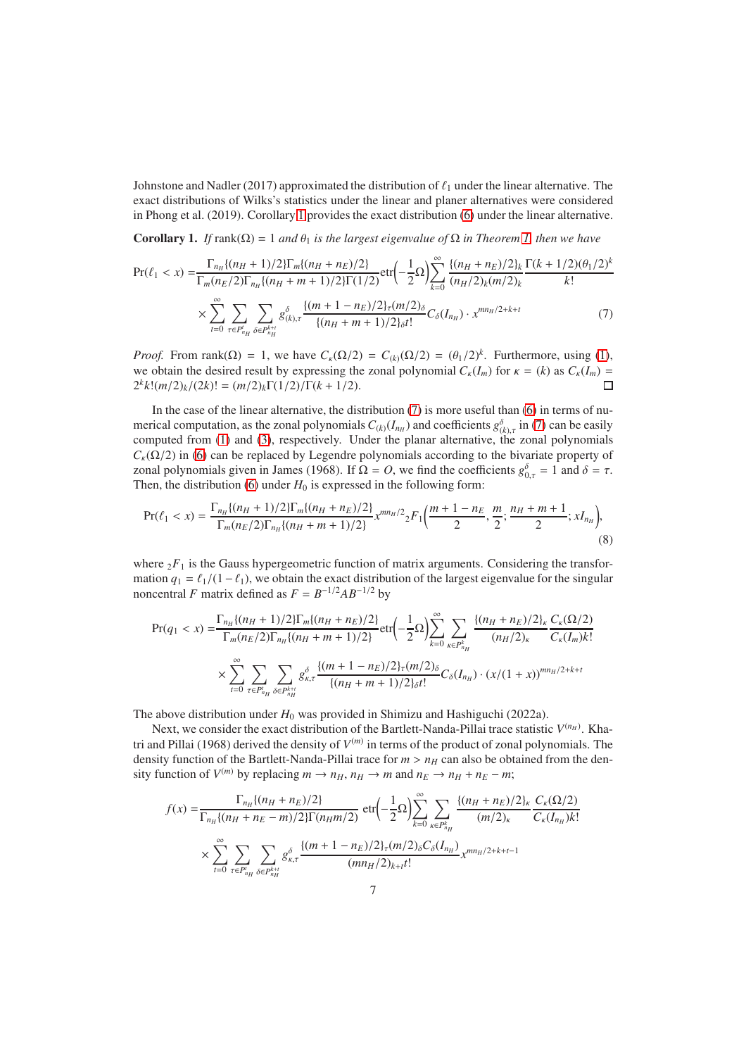Johnstone and Nadler (2017) approximated the distribution of  $\ell_1$  under the linear alternative. The exact distributions of Wilks's statistics under the linear and planer alternatives were considered in Phong et al. (2019). Corollary [1](#page-6-0) provides the exact distribution [\(6\)](#page-4-2) under the linear alternative.

<span id="page-6-0"></span>Corollary 1. *If* rank(Ω) = 1 *and*  $θ_1$  *is the largest eigenvalue of*  $Ω$  *in Theorem [1,](#page-4-3) then we have* 

<span id="page-6-1"></span>
$$
\Pr(\ell_1 < x) = \frac{\Gamma_{n_H} \{ (n_H + 1)/2 \} \Gamma_m \{ (n_H + n_E)/2 \}}{\Gamma_m (n_E/2) \Gamma_{n_H} \{ (n_H + m + 1)/2 \} \Gamma(1/2)} \text{etr} \left( -\frac{1}{2} \Omega \right) \sum_{k=0}^{\infty} \frac{\{ (n_H + n_E)/2 \}_k}{(n_H/2)_k (m/2)_k} \frac{\Gamma(k+1/2)(\theta_1/2)^k}{k!} \times \sum_{t=0}^{\infty} \sum_{\tau \in P_{n_H}^t} \sum_{\delta \in P_{n_H}^{k+t}} g_{(k),\tau}^{\delta} \frac{\{ (m + 1 - n_E)/2 \}_\tau (m/2)_\delta}{\{ (n_H + m + 1)/2 \}_\delta t!} C_{\delta}(I_{n_H}) \cdot x^{mn_H/2 + k + t} \tag{7}
$$

*Proof.* From rank( $\Omega$ ) = 1, we have  $C_k(\Omega/2) = C_{(k)}(\Omega/2) = (\theta_1/2)^k$ . Furthermore, using [\(1\)](#page-2-1), we obtain the desired result by expressing the zonal polynomial  $C_{\kappa}(I_m)$  for  $\kappa = (k)$  as  $C_{\kappa}(I_m) = 2^k k! (m/2)_k / (2k)! = (m/2)_k \Gamma(1/2) / \Gamma(k + 1/2)$ .  $2^k k! (m/2)_k / (2k)! = (m/2)_k \Gamma(1/2) / \Gamma(k+1/2).$ 

In the case of the linear alternative, the distribution  $(7)$  is more useful than  $(6)$  in terms of numerical computation, as the zonal polynomials  $C_{(k)}(I_{n_H})$  and coefficients  $g_{(k),\tau}^{\delta}$  in [\(7\)](#page-6-1) can be easily computed from [\(1\)](#page-2-1) and [\(3\)](#page-3-1), respectively. Under the planar alternative, the zonal polynomials  $C_k(\Omega/2)$  in [\(6\)](#page-4-2) can be replaced by Legendre polynomials according to the bivariate property of zonal polynomials given in James (1968). If  $\Omega = O$ , we find the coefficients  $g_{0,\tau}^{\delta} = 1$  and  $\delta = \tau$ . Then, the distribution [\(6\)](#page-4-2) under  $H_0$  is expressed in the following form:

$$
\Pr(\ell_1 < x) = \frac{\Gamma_{n_H}\{(n_H+1)/2\}\Gamma_m\{(n_H+n_E)/2\}}{\Gamma_m(n_E/2)\Gamma_{n_H}\{(n_H+m+1)/2\}} x^{mn_H/2} {}_2F_1\left(\frac{m+1-n_E}{2}, \frac{m}{2}; \frac{n_H+m+1}{2}; xI_{n_H}\right),\tag{8}
$$

where  ${}_2F_1$  is the Gauss hypergeometric function of matrix arguments. Considering the transformation  $q_1 = \ell_1/(1-\ell_1)$ , we obtain the exact distribution of the largest eigenvalue for the singular noncentral *F* matrix defined as  $F = B^{-1/2}AB^{-1/2}$  by

<span id="page-6-2"></span>
$$
\Pr(q_1 < x) = \frac{\Gamma_{n_H} \{ (n_H + 1)/2 \} \Gamma_m \{ (n_H + n_E)/2 \}}{\Gamma_m (n_E/2) \Gamma_{n_H} \{ (n_H + m + 1)/2 \}} \cdot \text{etr} \left( -\frac{1}{2} \Omega \right) \sum_{k=0}^{\infty} \sum_{\kappa \in P_{n_H}^k} \frac{\{ (n_H + n_E)/2 \}_\kappa C_\kappa(\Omega/2)}{(n_H/2)_\kappa} \frac{C_\kappa(\Omega/2)}{C_\kappa(I_m) k!}
$$
\n
$$
\times \sum_{t=0}^{\infty} \sum_{\tau \in P_{n_H}^t} \sum_{\delta \in P_{n_H}^{k+t}} g_{\kappa, \tau}^{\delta} \frac{\{ (m + 1 - n_E)/2 \}_\tau(m/2)_\delta}{\{ (n_H + m + 1)/2 \}_\delta t!} C_\delta(I_{n_H}) \cdot (x/(1+x))^{mn_H/2 + k + t}
$$

The above distribution under  $H_0$  was provided in Shimizu and Hashiguchi (2022a).

Next, we consider the exact distribution of the Bartlett-Nanda-Pillai trace statistic  $V^{(n_H)}$ . Khatri and Pillai (1968) derived the density of *V* (*m*) in terms of the product of zonal polynomials. The density function of the Bartlett-Nanda-Pillai trace for  $m > n_H$  can also be obtained from the density function of  $V^{(m)}$  by replacing  $m \rightarrow n_H$ ,  $n_H \rightarrow m$  and  $n_E \rightarrow n_H + n_E - m$ ;

$$
f(x) = \frac{\Gamma_{n_H}\{(n_H + n_E)/2\}}{\Gamma_{n_H}\{(n_H + n_E - m)/2\}\Gamma(n_H m/2)} \operatorname{etr}\left(-\frac{1}{2}\Omega\right) \sum_{k=0}^{\infty} \sum_{\kappa \in P_{n_H}^k} \frac{\{(n_H + n_E)/2\}_\kappa C_\kappa(\Omega/2)}{(m/2)_\kappa} \frac{C_\kappa(\Omega/2)}{C_\kappa(I_{n_H})k!}
$$

$$
\times \sum_{t=0}^{\infty} \sum_{\tau \in P_{n_H}^t} \sum_{\delta \in P_{n_H}^{k+t}} g_{\kappa,\tau}^{\delta} \frac{\{(m+1-n_E)/2\}_\tau(m/2)_\delta C_\delta(I_{n_H})}{(mn_H/2)_{k+t}t!} x^{mn_H/2+k+t-1}
$$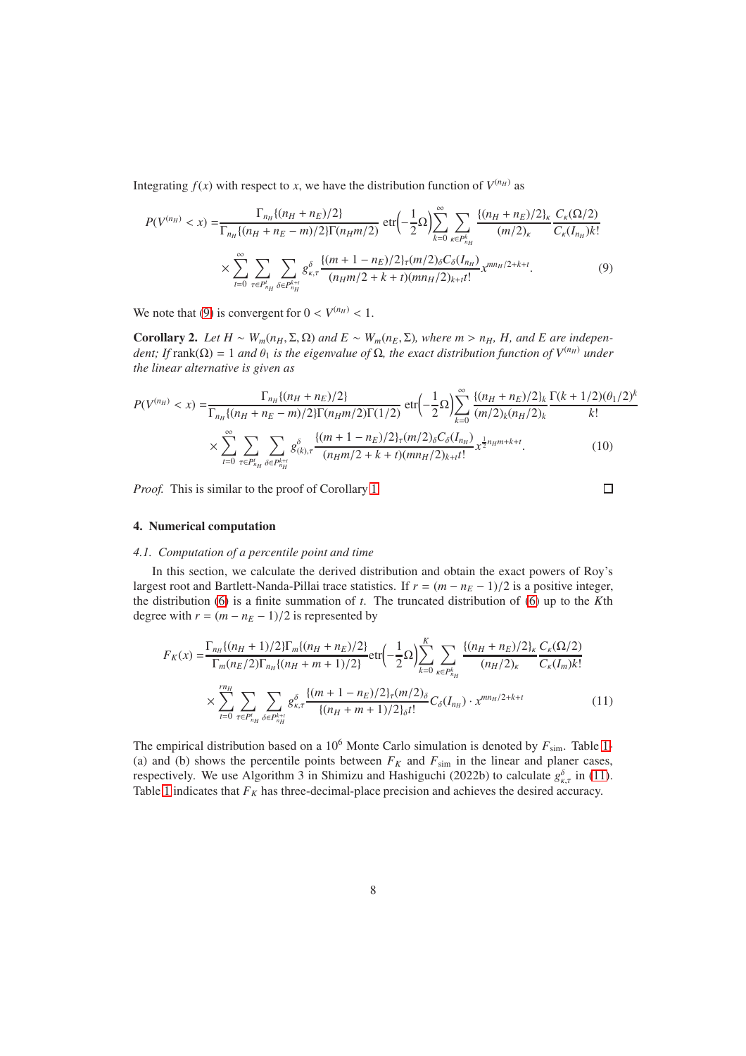Integrating  $f(x)$  with respect to *x*, we have the distribution function of  $V^{(n_H)}$  as

$$
P(V^{(n_H)} < x) = \frac{\Gamma_{n_H}\{(n_H + n_E)/2\}}{\Gamma_{n_H}\{(n_H + n_E - m)/2\} \Gamma(n_H m/2)} \operatorname{etr}\left(-\frac{1}{2}\Omega\right) \sum_{k=0}^{\infty} \sum_{\kappa \in P_{n_H}^k} \frac{\{(n_H + n_E)/2\}_\kappa C_\kappa(\Omega/2)}{(m/2)_\kappa} \frac{C_\kappa(\Omega/2)}{C_\kappa(I_{n_H})k!} \times \sum_{t=0}^{\infty} \sum_{\tau \in P_{n_H}^t} \sum_{\delta \in P_{n_H}^{k+t}} g_{\kappa,\tau}^{\delta} \frac{\{(m+1-n_E)/2\}_\tau(m/2)_\delta C_\delta(I_{n_H})}{(n_H m/2 + k + t)(mn_H/2)_{k+t}t!} x^{mn_H/2+k+t}.
$$
(9)

We note that [\(9\)](#page-7-1) is convergent for  $0 < V^{(n_H)} < 1$ .

Corollary 2. *Let*  $H \sim W_m(n_H, \Sigma, \Omega)$  *and*  $E \sim W_m(n_E, \Sigma)$ *, where m > n<sub>H</sub></sub>, H<sub>r</sub>, and E are indepen* $d$ *ent; If* rank( $\Omega$ ) = 1 *and*  $\theta_1$  *is the eigenvalue of*  $\Omega$ *, the exact distribution function of*  $V^{(n_H)}$  *under the linear alternative is given as*

$$
P(V^{(n_H)} < x) = \frac{\Gamma_{n_H} \{ (n_H + n_E)/2 \}}{\Gamma_{n_H} \{ (n_H + n_E - m)/2 \} \Gamma(n_H m/2) \Gamma(1/2)} \cdot \text{etr} \left( -\frac{1}{2} \Omega \right) \sum_{k=0}^{\infty} \frac{\{ (n_H + n_E)/2 \}_k \Gamma(k+1/2) (\theta_1/2)^k}{(m/2)_k (n_H/2)_k} \cdot \text{E}! \times \sum_{t=0}^{\infty} \sum_{\tau \in P'_{n_H}} \sum_{\delta \in P_{n_H}^{k+t}} g^{\delta}_{(k), \tau} \frac{\{ (m+1-n_E)/2 \}_\tau (m/2)_\delta C_\delta(I_{n_H})}{(n_H m/2 + k + t)(mn_H/2)_{k+t}!} x^{\frac{1}{2} n_H m + k + t}.
$$
\n(10)

*Proof.* This is similar to the proof of Corollary [1.](#page-6-0)

<span id="page-7-3"></span><span id="page-7-2"></span><span id="page-7-1"></span>
$$
\Box
$$

# <span id="page-7-0"></span>4. Numerical computation

# *4.1. Computation of a percentile point and time*

In this section, we calculate the derived distribution and obtain the exact powers of Roy's largest root and Bartlett-Nanda-Pillai trace statistics. If  $r = (m - n_E - 1)/2$  is a positive integer, the distribution [\(6\)](#page-4-2) is a finite summation of *t*. The truncated distribution of [\(6\)](#page-4-2) up to the *K*th degree with  $r = (m - n_E - 1)/2$  is represented by

$$
F_K(x) = \frac{\Gamma_{n_H}\{(n_H+1)/2\}\Gamma_m\{(n_H+n_E)/2\}}{\Gamma_m(n_E/2)\Gamma_{n_H}\{(n_H+m+1)/2\}} \text{etr}\left(-\frac{1}{2}\Omega\right) \sum_{k=0}^K \sum_{\kappa \in P_{n_H}^k} \frac{\{(n_H+n_E)/2\}_\kappa C_\kappa(\Omega/2)}{(n_H/2)_\kappa} \frac{C_\kappa(\Omega/2)}{C_\kappa(I_m)k!}
$$

$$
\times \sum_{t=0}^{n_H} \sum_{\tau \in P_{n_H}^t} \sum_{\delta \in P_{n_H}^{k+t}} g_{\kappa,\tau}^{\delta} \frac{\{(m+1-n_E)/2\}_\tau(m/2)_\delta}{\{(n_H+m+1)/2\}_\delta t!} C_\delta(I_{n_H}) \cdot x^{mn_H/2+k+t} \tag{11}
$$

The empirical distribution based on a  $10^6$  Monte Carlo simulation is denoted by  $F_{sim}$ . Table [1-](#page-8-0) (a) and (b) shows the percentile points between  $F_K$  and  $F_{sim}$  in the linear and planer cases, respectively. We use Algorithm 3 in Shimizu and Hashiguchi (2022b) to calculate  $g_{\kappa,\tau}^{\delta}$  in [\(11\)](#page-7-2). Table [1](#page-8-0) indicates that  $F_K$  has three-decimal-place precision and achieves the desired accuracy.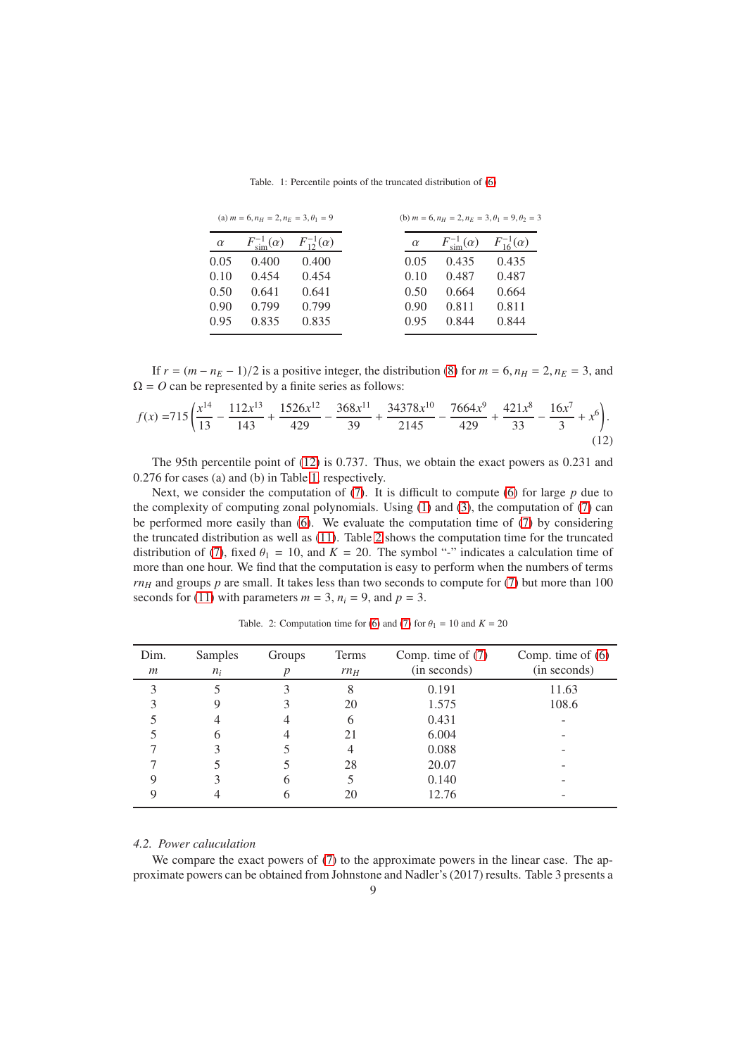Table. 1: Percentile points of the truncated distribution of [\(6\)](#page-4-2)

<span id="page-8-0"></span>

| (a) $m = 6$ , $n_H = 2$ , $n_E = 3$ , $\theta_1 = 9$ |                               |                       |          | (b) $m = 6$ , $n_H = 2$ , $n_E = 3$ , $\theta_1 = 9$ , $\theta_2 = 3$ |                       |
|------------------------------------------------------|-------------------------------|-----------------------|----------|-----------------------------------------------------------------------|-----------------------|
| $\alpha$                                             | $F^{-1}_{\text{sim}}(\alpha)$ | $F_{12}^{-1}(\alpha)$ | $\alpha$ | $F^{-1}_{\text{sim}}(\alpha)$                                         | $F_{16}^{-1}(\alpha)$ |
| 0.05                                                 | 0.400                         | 0.400                 | 0.05     | 0.435                                                                 | 0.435                 |
| 0.10                                                 | 0.454                         | 0.454                 | 0.10     | 0.487                                                                 | 0.487                 |
| 0.50                                                 | 0.641                         | 0.641                 | 0.50     | 0.664                                                                 | 0.664                 |
| 0.90                                                 | 0.799                         | 0.799                 | 0.90     | 0.811                                                                 | 0.811                 |
| 0.95                                                 | 0.835                         | 0.835                 | 0.95     | 0.844                                                                 | 0.844                 |

If  $r = (m - n_E - 1)/2$  is a positive integer, the distribution [\(8\)](#page-6-2) for  $m = 6$ ,  $n_H = 2$ ,  $n_E = 3$ , and  $\Omega = O$  can be represented by a finite series as follows:

$$
f(x) = 715 \left( \frac{x^{14}}{13} - \frac{112x^{13}}{143} + \frac{1526x^{12}}{429} - \frac{368x^{11}}{39} + \frac{34378x^{10}}{2145} - \frac{7664x^9}{429} + \frac{421x^8}{33} - \frac{16x^7}{3} + x^6 \right). \tag{12}
$$

The 95th percentile point of [\(12\)](#page-8-1) is 0.737. Thus, we obtain the exact powers as 0.231 and 0.276 for cases (a) and (b) in Table [1,](#page-8-0) respectively.

Next, we consider the computation of [\(7\)](#page-6-1). It is difficult to compute [\(6\)](#page-4-2) for large *p* due to the complexity of computing zonal polynomials. Using [\(1\)](#page-2-1) and [\(3\)](#page-3-1), the computation of [\(7\)](#page-6-1) can be performed more easily than [\(6\)](#page-4-2). We evaluate the computation time of [\(7\)](#page-6-1) by considering the truncated distribution as well as [\(11\)](#page-7-2). Table [2](#page-8-2) shows the computation time for the truncated distribution of [\(7\)](#page-6-1), fixed  $\theta_1 = 10$ , and  $K = 20$ . The symbol "-" indicates a calculation time of more than one hour. We find that the computation is easy to perform when the numbers of terms  $rn<sub>H</sub>$  and groups  $p$  are small. It takes less than two seconds to compute for [\(7\)](#page-6-1) but more than 100 seconds for [\(11\)](#page-7-2) with parameters  $m = 3$ ,  $n_i = 9$ , and  $p = 3$ .

<span id="page-8-2"></span>

| Dim.<br>$\boldsymbol{m}$ | Samples<br>$n_i$ | Groups | Terms<br>rn <sub>H</sub> | Comp. time of $(7)$<br>(in seconds) | Comp. time of $(6)$<br>(in seconds) |
|--------------------------|------------------|--------|--------------------------|-------------------------------------|-------------------------------------|
| 3                        |                  |        | 8                        | 0.191                               | 11.63                               |
|                          |                  |        | 20                       | 1.575                               | 108.6                               |
|                          |                  |        |                          | 0.431                               |                                     |
|                          |                  |        | 21                       | 6.004                               | -                                   |
|                          |                  |        |                          | 0.088                               |                                     |
|                          |                  |        | 28                       | 20.07                               | -                                   |
|                          |                  |        |                          | 0.140                               |                                     |
|                          |                  |        | 20                       | 12.76                               |                                     |

<span id="page-8-1"></span>Table. 2: Computation time for [\(6\)](#page-4-2) and [\(7\)](#page-6-1) for  $\theta_1 = 10$  and  $K = 20$ 

# *4.2. Power caluculation*

We compare the exact powers of [\(7\)](#page-6-1) to the approximate powers in the linear case. The approximate powers can be obtained from Johnstone and Nadler's (2017) results. Table 3 presents a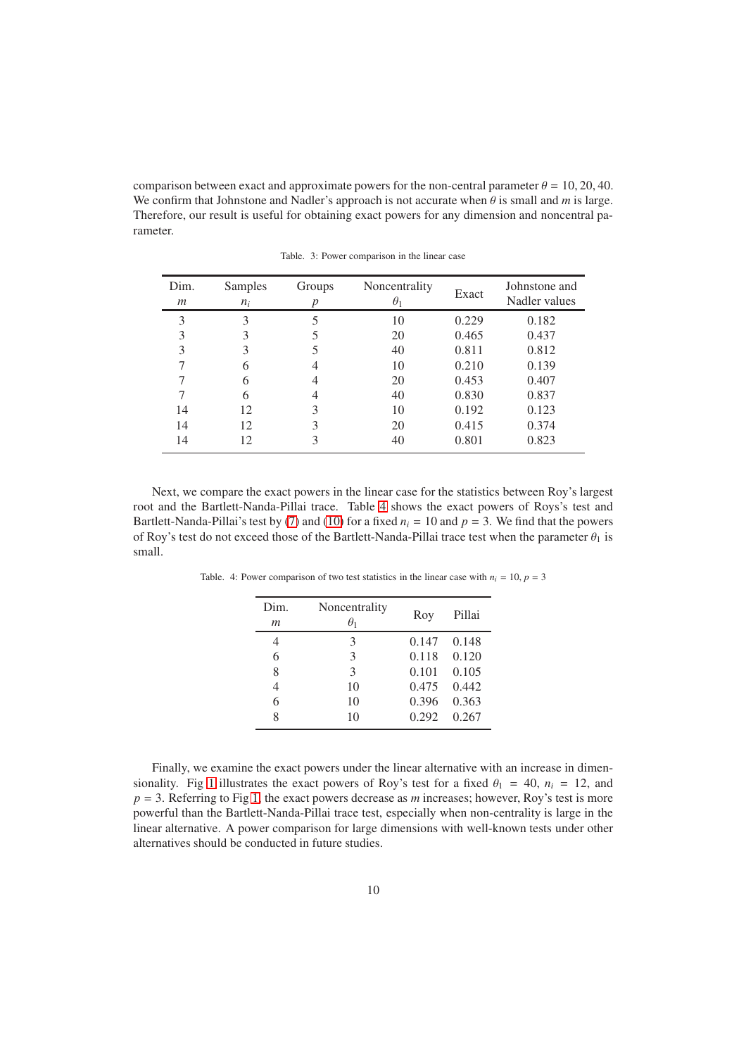comparison between exact and approximate powers for the non-central parameter  $\theta = 10, 20, 40$ . We confirm that Johnstone and Nadler's approach is not accurate when  $\theta$  is small and *m* is large. Therefore, our result is useful for obtaining exact powers for any dimension and noncentral parameter.

| Dim.<br>m     | Samples | Groups | Noncentrality | Exact | Johnstone and<br>Nadler values |
|---------------|---------|--------|---------------|-------|--------------------------------|
|               | $n_i$   |        | $\theta_1$    |       |                                |
| $\mathcal{E}$ | 3       |        | 10            | 0.229 | 0.182                          |
| 3             | 3       |        | 20            | 0.465 | 0.437                          |
| 3             | 3       |        | 40            | 0.811 | 0.812                          |
|               | 6       |        | 10            | 0.210 | 0.139                          |
|               | 6       |        | 20            | 0.453 | 0.407                          |
|               | 6       |        | 40            | 0.830 | 0.837                          |
| 14            | 12      | 3      | 10            | 0.192 | 0.123                          |
| 14            | 12      | 3      | 20            | 0.415 | 0.374                          |
| 14            | 12      | 3      | 40            | 0.801 | 0.823                          |

Table. 3: Power comparison in the linear case

Next, we compare the exact powers in the linear case for the statistics between Roy's largest root and the Bartlett-Nanda-Pillai trace. Table [4](#page-9-0) shows the exact powers of Roys's test and Bartlett-Nanda-Pillai's test by [\(7\)](#page-6-1) and [\(10\)](#page-7-3) for a fixed  $n_i = 10$  and  $p = 3$ . We find that the powers of Roy's test do not exceed those of the Bartlett-Nanda-Pillai trace test when the parameter  $\theta_1$  is small.

<span id="page-9-0"></span>Table. 4: Power comparison of two test statistics in the linear case with  $n_i = 10$ ,  $p = 3$ 

| Dim.<br>$\boldsymbol{m}$ | Noncentrality<br>$\theta_1$ | Roy   | Pillai |
|--------------------------|-----------------------------|-------|--------|
| 4                        | 3                           | 0.147 | 0.148  |
| 6                        | 3                           | 0.118 | 0.120  |
| 8                        | $\mathcal{E}$               | 0.101 | 0.105  |
|                          | 10                          | 0.475 | 0.442  |
| 6                        | 10                          | 0.396 | 0.363  |
| 8                        | 10                          | 0.292 | 0.267  |

Finally, we examine the exact powers under the linear alternative with an increase in dimen-sionality. Fig [1](#page-10-0) illustrates the exact powers of Roy's test for a fixed  $\theta_1 = 40$ ,  $n_i = 12$ , and  $p = 3$ . Referring to Fig [1,](#page-10-0) the exact powers decrease as *m* increases; however, Roy's test is more powerful than the Bartlett-Nanda-Pillai trace test, especially when non-centrality is large in the linear alternative. A power comparison for large dimensions with well-known tests under other alternatives should be conducted in future studies.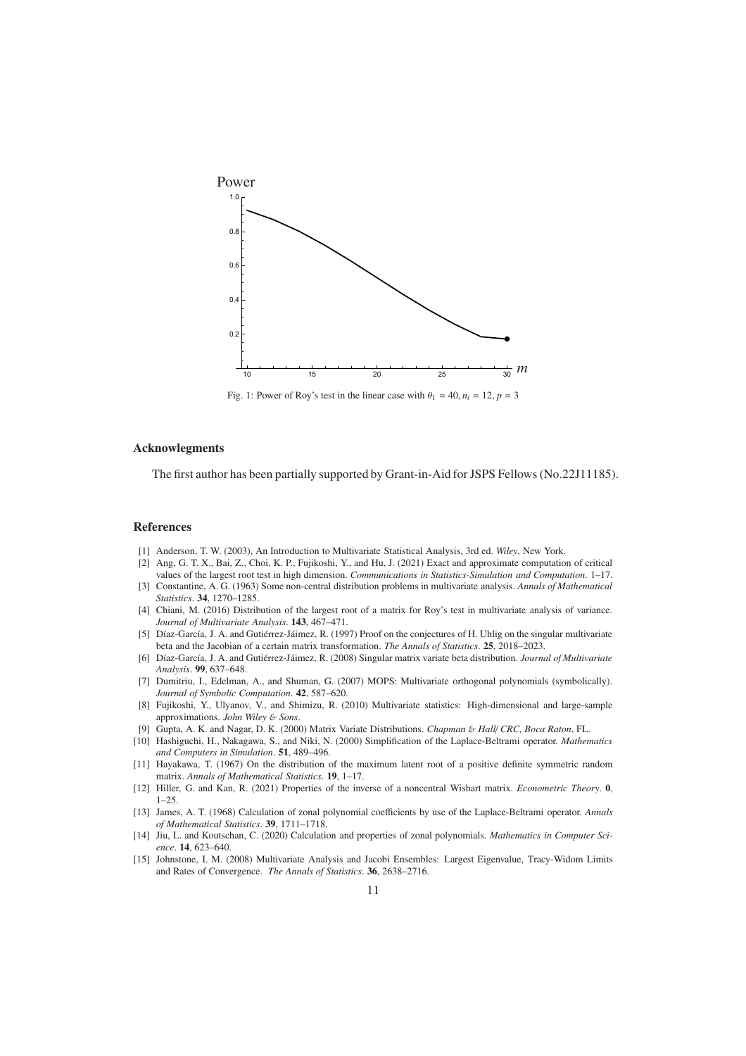<span id="page-10-0"></span>

Fig. 1: Power of Roy's test in the linear case with  $\theta_1 = 40$ ,  $n_i = 12$ ,  $p = 3$ 

#### Acknowlegments

The first author has been partially supported by Grant-in-Aid for JSPS Fellows (No.22J11185).

#### References

- [1] Anderson, T. W. (2003), An Introduction to Multivariate Statistical Analysis, 3rd ed. *Wiley*, New York.
- [2] Ang, G. T. X., Bai, Z., Choi, K. P., Fujikoshi, Y., and Hu, J. (2021) Exact and approximate computation of critical values of the largest root test in high dimension. *Communications in Statistics-Simulation and Computation*. 1–17.
- [3] Constantine, A. G. (1963) Some non-central distribution problems in multivariate analysis. *Annals of Mathematical Statistics*. 34, 1270–1285.
- [4] Chiani, M. (2016) Distribution of the largest root of a matrix for Roy's test in multivariate analysis of variance. *Journal of Multivariate Analysis*. 143, 467–471.
- [5] Díaz-García, J. A. and Gutiérrez-Jáimez, R. (1997) Proof on the conjectures of H. Uhlig on the singular multivariate beta and the Jacobian of a certain matrix transformation. *The Annals of Statistics*. 25, 2018–2023.
- [6] Díaz-García, J. A. and Gutiérrez-Jáimez, R. (2008) Singular matrix variate beta distribution. *Journal of Multivariate Analysis*. 99, 637–648.
- [7] Dumitriu, I., Edelman, A., and Shuman, G. (2007) MOPS: Multivariate orthogonal polynomials (symbolically). *Journal of Symbolic Computation*. 42, 587–620.
- [8] Fujikoshi, Y., Ulyanov, V., and Shimizu, R. (2010) Multivariate statistics: High-dimensional and large-sample approximations. *John Wiley* & *Sons*.
- [9] Gupta, A. K. and Nagar, D. K. (2000) Matrix Variate Distributions. *Chapman* & *Hall*/ *CRC, Boca Raton*, FL.
- [10] Hashiguchi, H., Nakagawa, S., and Niki, N. (2000) Simplification of the Laplace-Beltrami operator. *Mathematics and Computers in Simulation*. 51, 489–496.
- [11] Hayakawa, T. (1967) On the distribution of the maximum latent root of a positive definite symmetric random matrix. *Annals of Mathematical Statistics*. 19, 1–17.
- [12] Hiller, G. and Kan, R. (2021) Properties of the inverse of a noncentral Wishart matrix. *Econometric Theory*. 0,  $1 - 25$ .
- [13] James, A. T. (1968) Calculation of zonal polynomial coefficients by use of the Laplace-Beltrami operator. *Annals of Mathematical Statistics*. 39, 1711–1718.
- [14] Jiu, L. and Koutschan, C. (2020) Calculation and properties of zonal polynomials. *Mathematics in Computer Science*. 14, 623–640.
- [15] Johnstone, I. M. (2008) Multivariate Analysis and Jacobi Ensembles: Largest Eigenvalue, Tracy-Widom Limits and Rates of Convergence. *The Annals of Statistics*. 36, 2638–2716.